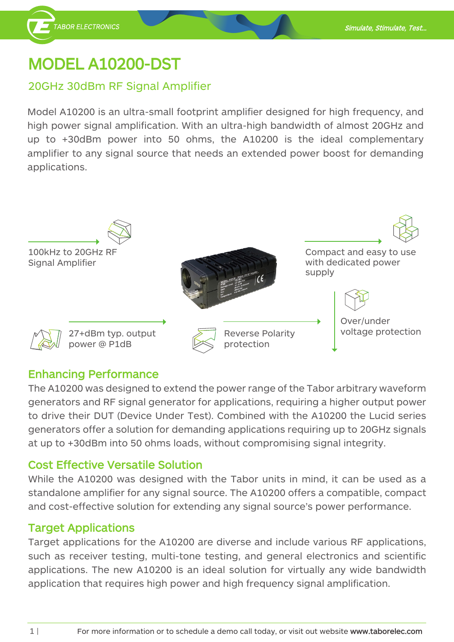## **MODEL A10200-DST**

**TABOR ELECTRONICS** 

### 20GHz 30dBm RF Signal Amplifier

Model A10200 is an ultra-small footprint amplifier designed for high frequency, and high power signal amplification. With an ultra-high bandwidth of almost 20GHz and up to  $+30$ dBm power into 50 ohms, the  $A10200$  is the ideal complementary amplifier to any signal source that needs an extended power boost for demanding .applications



### **Enhancing Performance**

The A10200 was designed to extend the power range of the Tabor arbitrary waveform generators and RF signal generator for applications, requiring a higher output power to drive their DUT (Device Under Test). Combined with the A10200 the Lucid series generators offer a solution for demanding applications requiring up to 20GHz signals at up to +30 dBm into 50 ohms loads, without compromising signal integrity.

#### **Cost Effective Versatile Solution**

While the A10200 was designed with the Tabor units in mind, it can be used as a standalone amplifier for any signal source. The A10200 offers a compatible, compact and cost-effective solution for extending any signal source's power performance.

#### **Applications Target**

Target applications for the A10200 are diverse and include various RF applications, such as receiver testing, multi-tone testing, and general electronics and scientific applications. The new A10200 is an ideal solution for virtually any wide bandwidth application that requires high power and high frequency signal amplification.